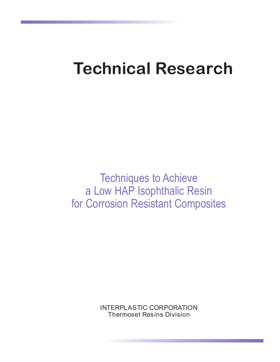# **Technical Research**

Techniques to Achieve a Low HAP Isophthalic Resin for Corrosion Resistant Composites

> INTERPLASTIC CORPORATION Thermoset Resins Division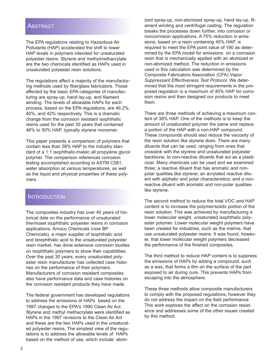#### ABSTRACT

The EPA regulations relating to Hazardous Air Pollutants (HAP) accelerated the shift to lower HAP levels in polymers intended for unsaturated polyester resins. Styrene and methylmethacrylate are the two chemicals identified as HAPs used in unsaturated polyester resin solutions.

The regulations affect a majority of the manufacturing methods used by fiberglass fabricators. Those affected by the basic EPA categories of manufacturing are spray-up, hand lay-up, and filament winding. The levels of allowable HAPs for each process, based on the EPA regulations, are 46.2%, 40%, and 42% respectively. This is a dramatic change from the corrosion resistant isophthalic resins used for the past 30 years that contained 46% to 50% HAP, typically styrene monomer.

This paper presents a comparison of polymers that contain less than 38% HAP to the industry standard of a 1:1 isophthalic-maleic all propylene glycol polymer. The comparison references corrosion testing accomplished according to ASTM C581, water absorption at various temperatures, as well as the liquid and physical properties of these polymers.

#### **INTRODUCTION**

The composites industry has over 40 years of historical data on the performance of unsaturated thermoset isophthalic polyester resins in corrosion applications. Amoco Chemicals (now BP Chemicals), a major supplier of isophthalic acid and terephthalic acid to the unsaturated polyester resin market, has done extensive corrosion studies on isophthalic polymers to show their capabilities. Over the past 30 years, every unsaturated polyester resin manufacturer has collected case histories on the performance of their polymers. Manufacturers of corrosion resistant composites also have performance data and case histories on the corrosion resistant products they have made.

The federal government has developed regulations to address the emissions of HAPs based on the 1997 changes to the EPA's 1990 Clean Air Act. Styrene and methyl methacrylate were identified as HAPs in the 1997 revisions to the Clean Air Act and these are the two HAPs used in the unsaturated polyester resins. The simplest view of the regulations is to address the allowable levels of HAPs based on the method of use, which include: atomized spray-up, non-atomized spray-up, hand lay-up, filament winding and centrifugal casting. The regulation breaks the processes down further, into corrosion or noncorrosion applications. A 75% reduction in emissions, based on a resin containing 45% HAP, is required to meet the EPA point value of 190 as determined by the EPA model for emissions on a corrosion resin that is mechanically applied with an atomized or non-atomized method. The reduction in emissions used in this calculation was determined by the Composite Fabricators Association (CFA) *Vapor Suppressant Effectiveness Test Protocol.* We determined that the most stringent requirements in the proposed regulation is a maximum of 40% HAP for corrosion resins and then designed our products to meet them.

There are three methods of achieving a maximum content of 38% HAP. One of the methods is to keep the amount of unsaturated polymer the same and replace a portion of the HAP with a non-HAP compound. These compounds should also reduce the viscosity of the resin solution like styrene does. There are many diluents that can be used, ranging from ones that crosslink with the styrene and unsaturated polyester backbone, to non-reactive diluents that act as a plasticizer. Many chemicals can be used and we examined three: a reactive diluent that has aromatic and nonpolar qualities like styrene; an acrylated reactive diluent with aliphatic and polar characteristics; and a nonreactive diluent with aromatic and non-polar qualities like styrene.

The second method to reduce the total VOC and HAP content is to increase the polymer/solids portion of the resin solution. This was achieved by manufacturing a lower molecular weight, unsaturated isophthalic polyester polymer. Lower molecular weight polymers have been created for industries, such as the marine, that use unsaturated polyester resins. It was found, however, that lower molecular weight polymers decreased the performance of the finished composites.

The third method to reduce HAP content is to suppress the emissions of HAPs by adding a compound, such as a wax, that forms a film on the surface of the part exposed to air during cure. This prevents HAPs from escaping into the atmosphere.

These three methods allow composite manufacturers to comply with the proposed regulations; however they do not address the impact on the field performance. This work explores the affect on the corrosion resistance and addresses some of the other issues created by this method.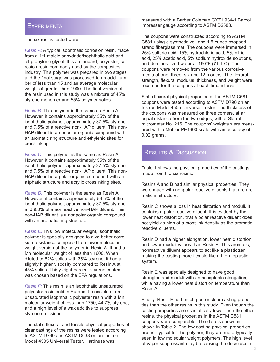#### **EXPERIMENTAL**

The six resins tested were:

*Resin A:* A typical isophthalic corrosion resin, made from a 1:1 maleic anhydride/isophthalic acid and all-propylene glycol. It is a standard, polyester, corrosion resin commonly used by the composites industry. This polymer was prepared in two stages and the final stage was processed to an acid number of less than 15 and an average molecular weight of greater than 1900. The final version of the resin used in this study was a mixture of 45% styrene monomer and 55% polymer solids.

*Resin B:* This polymer is the same as Resin A. However, it contains approximately 55% of the isophthalic polymer, approximately 37.5% styrene and 7.5% of a reactive non-HAP diluent. This non-HAP diluent is a nonpolar organic compound with an aromatic ring structure and ethylenic sites for crosslinking.

*Resin C:* This polymer is the same as Resin A. However, it contains approximately 55% of the isophthalic polymer, approximately 37.5% styrene and 7.5% of a reactive non-HAP diluent. This non-HAP diluent is a polar organic compound with an aliphatic structure and acrylic crosslinking sites.

*Resin D:* This polymer is the same as Resin A. However, it contains approximately 53.5% of the isophthalic polymer, approximately 37.5% styrene and 9.0% of a nonreactive non-HAP diluent. This non-HAP diluent is a nonpolar organic compound with an aromatic ring structure.

*Resin E:* This low molecular weight, isophthalic polymer is specially designed to give better corrosion resistance compared to a lower molecular weight version of the polymer in Resin A. It had a Mn molecular weight of less than 1600. When diluted to 62% solids with 38% styrene, it had a slightly higher viscosity compared to Resin A at 45% solids. Thirty eight percent styrene content was chosen based on the EPA regulations.

*Resin F:* This resin is an isophthalic unsaturated polyester resin sold in Europe. It consists of an unsaturated isophthalic polyester resin with a Mn molecular weight of less than 1750, 44.7% styrene, and a high level of a wax additive to suppress styrene emissions.

The static flexural and tensile physical properties of clear castings of the resins were tested according to ASTM D790 and ASTM D638 on an Instron Model 4505 Universal Tester. Hardness was

measured with a Barber Coleman GYZJ 934-1 Barcol impresser gauge according to ASTM D2583.

The coupons were constructed according to ASTM C581 using a synthetic veil and 1.5 ounce chopped strand fiberglass mat. The coupons were immersed in 25% sulfuric acid, 15% hydrochloric acid, 5% nitric acid, 25% acetic acid, 5% sodium hydroxide solutions, and demineralized water at 160°F (71.1°C). The coupons were removed from the various corrosive media at one, three, six and 12 months. The flexural strength, flexural modulus, thickness, and weight were recorded for the coupons at each time interval.

Static flexural physical properties of the ASTM C581 coupons were tested according to ASTM D790 on an Instron Model 4505 Universal Tester. The thickness of the coupons was measured on three corners, at an equal distance from the two edges, with a Starrett micrometer No. 216. The coupons' weights were measured with a Mettler PE1600 scale with an accuracy of 0.02 grams.

## **RESULTS & DISCUSSION**

Table 1 shows the physical properties of the castings made from the six resins.

Resins A and B had similar physical properties. They were made with nonpolar reactive diluents that are aromatic in structure.

Resin C shows a loss in heat distortion and moduli. It contains a polar reactive diluent. It is evident by the lower heat distortion, that a polar reactive diluent does not yield as high of a crosslink density as the aromatic reactive diluents.

Resin D had a higher elongation, lower heat distortion and lower moduli values than Resin A. This aromatic, nonreactive diluent appears to act like a plasticizer, making the casting more flexible like a thermoplastic system.

Resin E was specially designed to have good strengths and moduli with an acceptable elongation, while having a lower heat distortion temperature than Resin A.

Finally, Resin F had much poorer clear casting properties than the other resins in this study. Even though the casting properties are dramatically lower then the other resins, the physical properties in the ASTM C581 coupons were comparable. The data is shown in shown in Table 2. The low casting physical properties are not typical for this polymer; they are more typically seen in low molecular weight polymers. The high level of vapor suppressant may be causing the decrease in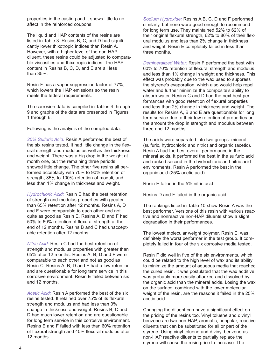properties in the casting and it shows little to no affect in the reinforced coupons.

The liquid and HAP contents of the resins are listed in Table 3. Resins B, C, and D had significantly lower thixotropic indices than Resin A. However, with a higher level of the non-HAP diluent, these resins could be adjusted to comparable viscosities and thixotropic indices. The HAP content in Resins B, C, D, and E are all less than 35%.

Resin F has a vapor suppression factor of 77%, which lowers the HAP emissions so the resin meets the federal requirements.

The corrosion data is compiled in Tables 4 through 9 and graphs of the data are presented in Figures 1 through 6.

Following is the analysis of the compiled data.

*25% Sulfuric Acid:* Resin A performed the best of the six resins tested. It had little change in the flexural strength and modulus as well as the thickness and weight. There was a big drop in the weight at month one, but the remaining three periods showed little change. The other five resins all performed acceptably with 70% to 90% retention of strength, 85% to 100% retention of moduli, and less than 1% change in thickness and weight.

*Hydrochloric Acid:* Resin E had the best retention of strength and modulus properties with greater than 65% retention after 12 months. Resins A, D and F were comparable to each other and not quite as good as Resin E. Resins A, D and F had 50% to 60% retention of flexural strength at the end of 12 months. Resins B and C had unacceptable retention after 12 months.

*Nitric Acid:* Resin C had the best retention of strength and modulus properties with greater than 65% after 12 months. Resins A, B, D and F were comparable to each other and not as good as Resin C. Resins A, B, D and F had a low retention and are questionable for long term service in this corrosive environment. Resin E failed between six and 12 months.

*Acetic Acid:* Resin A performed the best of the six resins tested. It retained over 75% of its flexural strength and modulus and had less than 3% change in thickness and weight. Resins B, C and D had much lower retention and are questionable for long term service in this corrosive environment. Resins E and F failed with less than 60% retention of flexural strength and 40% flexural modulus after 12 months.

*Sodium Hydroxide:* Resins A B, C, D and F performed similarly, but none were good enough to recommend for long term use. They maintained 52% to 62% of their original flexural strength, 62% to 80% of their flexural modulus and less than 2% change in thickness and weight. Resin E completely failed in less than three months.

*Demineralized Water:* Resin F performed the best with 60% to 70% retention of flexural strength and modulus and less than 1% change in weight and thickness. This effect was probably due to the wax used to suppress the styrene's evaporation, which also would help repel water and further minimize the composite's ability to absorb water. Resins C and D had the next best performances with good retention of flexural properties and less than 2% change in thickness and weight. The results for Resins A, B and E are questionable for long term service due to their low retention of properties or the amount the drop in strength and modulus between three and 12 months.

The acids were separated into two groups: mineral (sulfuric, hydrochloric and nitric) and organic (acetic). Resin A had the best overall performance in the mineral acids. It performed the best in the sulfuric acid and ranked second in the hydrochloric and nitric acid environments. Resin A performed the best in the organic acid (25% acetic acid).

Resin E failed in the 5% nitric acid.

Resins D and F failed in the organic acid.

The rankings listed in Table 10 show Resin A was the best performer. Versions of this resin with various reactive and nonreactive non-HAP diluents show a slight degradation in their performances.

The lowest molecular weight polymer, Resin E, was definitely the worst performer in the test group. It completely failed in four of the six corrosive media tested.

Resin F did well in five of the six environments, which could be related to the high level of wax and its ability to minimize the amount of aqueous media that reached the cured resin. It was postulated that the wax additive was probably more easily attacked and dissolved by the organic acid than the mineral acids. Losing the wax on the surface, combined with the lower molecular weight of the resin, are the reasons it failed in the 25% acetic acid.

Changing the diluent can have a significant effect on the pricing of the resins too. Vinyl toluene and divinyl benzene are two non-HAP, aromatic, nonpolar, reactive diluents that can be substituted for all or part of the styrene. Using vinyl toluene and divinyl benzene as non-HAP reactive diluents to partially replace the styrene will cause the resin price to increase. The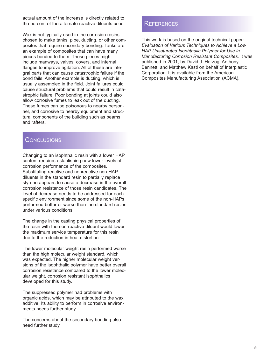actual amount of the increase is directly related to the percent of the alternate reactive diluents used.

Wax is not typically used in the corrosion resins chosen to make tanks, pipe, ducting, or other composites that require secondary bonding. Tanks are an example of composites that can have many pieces bonded to them. These pieces might include manways, valves, covers, and internal flanges to improve agitation. All of these are integral parts that can cause catastrophic failure if the bond fails. Another example is ducting, which is usually assembled in the field. Joint failures could cause structural problems that could result in catastrophic failure. Poor bonding at joints could also allow corrosive fumes to leak out of the ducting. These fumes can be poisonous to nearby personnel, and corrosive to nearby equipment and structural components of the building such as beams and rafters.

## **CONCLUSIONS**

Changing to an isophthalic resin with a lower HAP content requires establishing new lower levels of corrosion performance of the composites. Substituting reactive and nonreactive non-HAP diluents in the standard resin to partially replace styrene appears to cause a decrease in the overall corrosion resistance of those resin candidates. The level of decrease needs to be addressed for each specific environment since some of the non-HAPs performed better or worse than the standard resins under various conditions.

The change in the casting physical properties of the resin with the non-reactive diluent would lower the maximum service temperature for this resin due to the reduction in heat distortion.

The lower molecular weight resin performed worse than the high molecular weight standard, which was expected. The higher molecular weight versions of the isophthalic polymer have better overall corrosion resistance compared to the lower molecular weight, corrosion resistant isophthalics developed for this study.

The suppressed polymer had problems with organic acids, which may be attributed to the wax additive. Its ability to perform in corrosive environments needs further study.

The concerns about the secondary bonding also need further study.

#### REFERENCES

This work is based on the original technical paper: *Evaluation of Various Techniques to Achieve a Low HAP Unsaturated Isophthalic Polymer for Use in Manufacturing Corrosion Resistant Composites.* It was published in 2001, by David J. Herzog, Anthony Bennett, and Matthew Kastl on behalf of Interplastic Corporation. It is available from the American Composites Manufacturing Association (ACMA).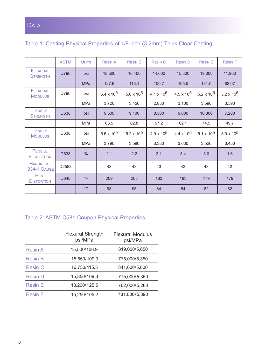|  |  |  | Table 1: Casting Physical Properties of 1/8 inch (3.2mm) Thick Clear Casting |  |  |  |  |  |  |
|--|--|--|------------------------------------------------------------------------------|--|--|--|--|--|--|
|--|--|--|------------------------------------------------------------------------------|--|--|--|--|--|--|

|                                     | <b>ASTM</b> | <b>UNITS</b> | <b>RESIN A</b>      | <b>RESIN B</b>    | <b>RESIN C</b>    | <b>RESIN D</b>    | <b>RESIN E</b>    | <b>RESIN F</b>    |
|-------------------------------------|-------------|--------------|---------------------|-------------------|-------------------|-------------------|-------------------|-------------------|
| <b>FLEXURAL</b><br><b>STRENGTH</b>  | D790        | psi          | 18,500              | 16,400            | 14,600            | 15,300            | 19,000            | 11,900            |
|                                     |             | <b>MPa</b>   | 127.6               | 113.1             | 100.7             | 105.5             | 131.0             | 82.07             |
| <b>FLEXURAL</b><br><b>MODULUS</b>   | D790        | psi          | $5.4 \times 10^{5}$ | $5.0 \times 10^5$ | 4.1 x $10^5$      | $4.5 \times 10^5$ | $5.2 \times 10^5$ | $5.2 \times 10^5$ |
|                                     |             | MPa          | 3,720               | 3,450             | 2,830             | 3,100             | 3,590             | 3,590             |
| <b>TENSILE</b><br><b>STRENGTH</b>   | D638        | psi          | 9,500               | 9,100             | 8,300             | 9,000             | 10,800            | 7,200             |
|                                     |             | MPa          | 65.5                | 62.8              | 57.2              | 62.1              | 74.5              | 49.7              |
| <b>TENSILE</b><br><b>MODULUS</b>    | D638        | psi          | $5.5 \times 10^5$   | $5.2 \times 10^5$ | $4.9 \times 10^5$ | $4.4 \times 10^5$ | 5.1 x $10^5$      | $5.0 \times 10^5$ |
|                                     |             | <b>MPa</b>   | 3,790               | 3,590             | 3,380             | 3,030             | 3,520             | 3,450             |
| <b>TENSILE</b><br><b>ELONGATION</b> | D638        | $\%$         | 2.1                 | 2.2               | 2.1               | 3.4               | 3.0               | 1.6               |
| HARDNESS,<br><b>934-1 GAUGE</b>     | D2583       |              | 43                  | 43                | 43                | 43                | 43                | 42                |
| <b>HEAT</b><br><b>DISTORTION</b>    | D648        | $\circ$ F    | 209                 | 203               | 183               | 183               | 179               | 179               |
|                                     |             | $^{\circ}$ C | 98                  | 95                | 84                | 84                | 82                | 82                |

# Table 2: ASTM C581 Coupon Physical Properties

|                | <b>Flexural Strength</b><br>psi/MPa | <b>Flexural Modulus</b><br>psi/MPa |
|----------------|-------------------------------------|------------------------------------|
| <b>Resin A</b> | 15,500/106.9                        | 819,000/5,650                      |
| <b>Resin B</b> | 15,850/109.3                        | 775,000/5,350                      |
| <b>Resin C</b> | 16,750/115.5                        | 841,000/5,800                      |
| <b>Resin D</b> | 15,850/109.3                        | 775,000/5,350                      |
| <b>Resin E</b> | 18,200/125.5                        | 762,000/5,260                      |
| <b>Resin F</b> | 15,250/105.2                        | 781,000/5,390                      |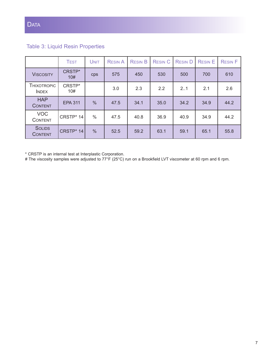# Table 3: Liquid Resin Properties

|                                 | <b>TEST</b>    | <b>UNIT</b>   | <b>RESIN A</b> | <b>RESIN B</b> | <b>RESIN C</b> | <b>RESIND</b> | <b>RESIN E</b> | <b>RESIN F</b> |
|---------------------------------|----------------|---------------|----------------|----------------|----------------|---------------|----------------|----------------|
| <b>VISCOSITY</b>                | CRSTP*<br>10#  | <b>CDS</b>    | 575            | 450            | 530            | 500           | 700            | 610            |
| THIXOTROPIC<br><b>INDEX</b>     | CRSTP*<br>10#  |               | 3.0            | 2.3            | 2.2            | 2.1           | 2.1            | 2.6            |
| <b>HAP</b><br><b>CONTENT</b>    | <b>EPA 311</b> | $\frac{0}{0}$ | 47.5           | 34.1           | 35.0           | 34.2          | 34.9           | 44.2           |
| <b>VOC</b><br><b>CONTENT</b>    | CRSTP* 14      | $\%$          | 47.5           | 40.8           | 36.9           | 40.9          | 34.9           | 44.2           |
| <b>SOLIDS</b><br><b>CONTENT</b> | CRSTP* 14      | $\frac{0}{0}$ | 52.5           | 59.2           | 63.1           | 59.1          | 65.1           | 55.8           |

\* CRSTP is an internal test at Interplastic Corporation.

# The viscosity samples were adjusted to 77°F (25°C) run on a Brookfield LVT viscometer at 60 rpm and 6 rpm.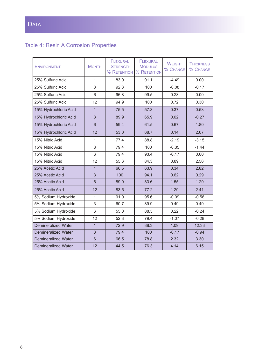# Table 4: Resin A Corrosion Properties

| <b>ENVIRONMENT</b>         | <b>MONTH</b>   | <b>FLEXURAL</b><br><b>STRENGTH</b><br>% RETENTION | <b>FLEXURAL</b><br><b>MODULUS</b><br>% RETENTION | <b>WEIGHT</b><br>% CHANGE | <b>THICKNESS</b><br>% CHANGE |
|----------------------------|----------------|---------------------------------------------------|--------------------------------------------------|---------------------------|------------------------------|
| 25% Sulfuric Acid          | $\mathbf{1}$   | 83.9                                              | 91.1                                             | $-4.49$                   | 0.00                         |
| 25% Sulfuric Acid          | 3              | 92.3                                              | 100                                              | $-0.08$                   | $-0.17$                      |
| 25% Sulfuric Acid          | 6              | 96.8                                              | 99.5                                             | 0.23                      | 0.00                         |
| 25% Sulfuric Acid          | 12             | 94.9                                              | 100                                              | 0.72                      | 0.30                         |
| 15% Hydrochloric Acid      | $\mathbf{1}$   | 75.5                                              | 57.3                                             | 0.37                      | 0.53                         |
| 15% Hydrochloric Acid      | 3              | 89.9                                              | 65.9                                             | 0.02                      | $-0.27$                      |
| 15% Hydrochloric Acid      | $6\phantom{1}$ | 59.4                                              | 61.5                                             | 0.67                      | 1.80                         |
| 15% Hydrochloric Acid      | 12             | 53.0                                              | 68.7                                             | 0.14                      | 2.07                         |
| 15% Nitric Acid            | $\mathbf{1}$   | 77.4                                              | 88.8                                             | $-2.19$                   | $-3.15$                      |
| 15% Nitric Acid            | 3              | 79.4                                              | 100                                              | $-0.35$                   | $-1.44$                      |
| 15% Nitric Acid            | 6              | 79.4                                              | 93.4                                             | $-0.17$                   | 0.60                         |
| 15% Nitric Acid            | 12             | 55.6                                              | 84.3                                             | 0.89                      | 2.56                         |
| 25% Acetic Acid            | $\overline{1}$ | 66.5                                              | 63.9                                             | 0.34                      | 2.82                         |
| 25% Acetic Acid            | 3              | 100                                               | 94.1                                             | 0.62                      | 0.29                         |
| 25% Acetic Acid            | $6\phantom{1}$ | 89.0                                              | 83.6                                             | 1.55                      | 1.29                         |
| 25% Acetic Acid            | 12             | 83.5                                              | 77.2                                             | 1.29                      | 2.41                         |
| 5% Sodium Hydroxide        | $\mathbf{1}$   | 91.0                                              | 95.6                                             | $-0.09$                   | $-0.56$                      |
| 5% Sodium Hydroxide        | 3              | 60.7                                              | 89.9                                             | 0.49                      | 0.49                         |
| 5% Sodium Hydroxide        | 6              | 55.0                                              | 88.5                                             | 0.22                      | $-0.24$                      |
| 5% Sodium Hydroxide        | 12             | 52.3                                              | 79.4                                             | $-1.07$                   | $-0.28$                      |
| <b>Demineralized Water</b> | $\overline{1}$ | 72.9                                              | 88.3                                             | 1.09                      | 12.33                        |
| <b>Demineralized Water</b> | 3              | 79.4                                              | 100                                              | $-0.17$                   | $-0.94$                      |
| <b>Demineralized Water</b> | $\,$ 6 $\,$    | 66.5                                              | 78.8                                             | 2.32                      | 3.30                         |
| <b>Demineralized Water</b> | 12             | 44.5                                              | 76.3                                             | 4.14                      | 6.15                         |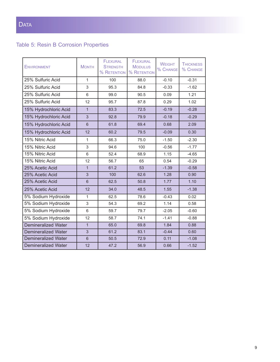# Table 5: Resin B Corrosion Properties

| <b>ENVIRONMENT</b>         | <b>MONTH</b>   | <b>FLEXURAL</b><br><b>STRENGTH</b><br>% RETENTION | <b>FLEXURAL</b><br><b>MODULUS</b><br>% RETENTION | <b>WEIGHT</b><br>% CHANGE | <b>THICKNESS</b><br>% CHANGE |
|----------------------------|----------------|---------------------------------------------------|--------------------------------------------------|---------------------------|------------------------------|
| 25% Sulfuric Acid          | $\mathbf{1}$   | 100                                               | 88.0                                             | $-0.10$                   | $-0.31$                      |
| 25% Sulfuric Acid          | 3              | 95.3                                              | 84.8                                             | $-0.33$                   | $-1.62$                      |
| 25% Sulfuric Acid          | 6              | 99.0                                              | 90.5                                             | 0.09                      | 1.21                         |
| 25% Sulfuric Acid          | 12             | 95.7                                              | 87.8                                             | 0.29                      | 1.02                         |
| 15% Hydrochloric Acid      | $\mathbf{1}$   | 83.3                                              | 72.5                                             | $-0.19$                   | $-0.28$                      |
| 15% Hydrochloric Acid      | 3              | 92.8                                              | 79.9                                             | $-0.18$                   | $-0.29$                      |
| 15% Hydrochloric Acid      | 6              | 61.8                                              | 69.4                                             | 0.68                      | 2.09                         |
| 15% Hydrochloric Acid      | 12             | 60.2                                              | 79.5                                             | $-0.09$                   | 0.30                         |
| 15% Nitric Acid            | 1              | 66.3                                              | 75.0                                             | $-1.50$                   | $-2.30$                      |
| 15% Nitric Acid            | 3              | 94.6                                              | 100                                              | $-0.56$                   | $-1.77$                      |
| 15% Nitric Acid            | 6              | 52.4                                              | 68.9                                             | 1.15                      | $-4.65$                      |
| 15% Nitric Acid            | 12             | 56.7                                              | 65                                               | 0.54                      | $-0.29$                      |
| 25% Acetic Acid            | $\overline{1}$ | 61.2                                              | 53                                               | $-1.39$                   | $-0.58$                      |
| 25% Acetic Acid            | 3              | 100                                               | 62.6                                             | 1.28                      | 0.90                         |
| 25% Acetic Acid            | 6              | 62.5                                              | 50.8                                             | 1.77                      | 1.10                         |
| 25% Acetic Acid            | 12             | 34.0                                              | 48.5                                             | 1.55                      | $-1.38$                      |
| 5% Sodium Hydroxide        | 1              | 62.5                                              | 78.6                                             | $-0.43$                   | 0.02                         |
| 5% Sodium Hydroxide        | 3              | 54.3                                              | 69.2                                             | 1.14                      | 0.58                         |
| 5% Sodium Hydroxide        | 6              | 59.7                                              | 79.7                                             | $-2.05$                   | $-0.60$                      |
| 5% Sodium Hydroxide        | 12             | 58.7                                              | 74.1                                             | $-1.41$                   | $-0.88$                      |
| <b>Demineralized Water</b> | $\mathbf{1}$   | 65.0                                              | 69.8                                             | 1.84                      | 0.88                         |
| <b>Demineralized Water</b> | 3              | 61.2                                              | 83.1                                             | $-0.44$                   | 0.60                         |
| <b>Demineralized Water</b> | $6\phantom{1}$ | 50.5                                              | 72.9                                             | 0.11                      | $-1.08$                      |
| <b>Demineralized Water</b> | 12             | 47.2                                              | 56.9                                             | 0.66                      | $-1.52$                      |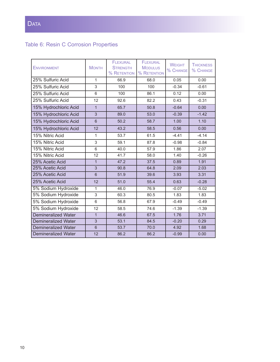# Table 6: Resin C Corrosion Properties

| <b>ENVIRONMENT</b>         | <b>MONTH</b>   | <b>FLEXURAL</b><br><b>STRENGTH</b><br><b>% RETENTION</b> | <b>FLEXURAL</b><br><b>MODULUS</b><br>% RETENTION | <b>WEIGHT</b><br>% CHANGE | <b>THICKNESS</b><br>% CHANGE |
|----------------------------|----------------|----------------------------------------------------------|--------------------------------------------------|---------------------------|------------------------------|
| 25% Sulfuric Acid          | $\mathbf{1}$   | 66.9                                                     | 68.0                                             | 0.05                      | 0.00                         |
| 25% Sulfuric Acid          | 3              | 100                                                      | 100                                              | $-0.34$                   | $-0.61$                      |
| 25% Sulfuric Acid          | 6              | 100                                                      | 86.1                                             | 0.12                      | 0.00                         |
| 25% Sulfuric Acid          | 12             | 92.6                                                     | 82.2                                             | 0.43                      | $-0.31$                      |
| 15% Hydrochloric Acid      | $\mathbf{1}$   | 65.7                                                     | 50.8                                             | $-0.64$                   | 0.00                         |
| 15% Hydrochloric Acid      | 3              | 89.0                                                     | 53.0                                             | $-0.39$                   | $-1.42$                      |
| 15% Hydrochloric Acid      | $6\phantom{1}$ | 50.2                                                     | 58.7                                             | 1.00                      | 1.10                         |
| 15% Hydrochloric Acid      | 12             | 43.2                                                     | 58.5                                             | 0.56                      | 0.00                         |
| 15% Nitric Acid            | 1              | 53.7                                                     | 61.5                                             | $-4.41$                   | $-4.14$                      |
| 15% Nitric Acid            | 3              | 59.1                                                     | 87.8                                             | $-0.98$                   | $-0.84$                      |
| 15% Nitric Acid            | 6              | 40.0                                                     | 57.9                                             | 1.86                      | 2.07                         |
| 15% Nitric Acid            | 12             | 41.7                                                     | 58.0                                             | 1.40                      | $-0.26$                      |
| 25% Acetic Acid            | $\overline{1}$ | 47.2                                                     | 37.5                                             | 0.89                      | 1.91                         |
| 25% Acetic Acid            | 3              | 90.8                                                     | 64.8                                             | 2.09                      | 2.03                         |
| 25% Acetic Acid            | 6              | 51.9                                                     | 39.6                                             | 3.93                      | 3.31                         |
| 25% Acetic Acid            | 12             | 51.0                                                     | 55.4                                             | 0.63                      | $-0.28$                      |
| 5% Sodium Hydroxide        | 1              | 46.0                                                     | 76.9                                             | $-0.07$                   | $-5.02$                      |
| 5% Sodium Hydroxide        | 3              | 60.3                                                     | 80.5                                             | 1.83                      | 1.83                         |
| 5% Sodium Hydroxide        | 6              | 56.8                                                     | 67.9                                             | $-0.49$                   | $-0.49$                      |
| 5% Sodium Hydroxide        | 12             | 58.5                                                     | 74.6                                             | $-1.39$                   | $-1.39$                      |
| <b>Demineralized Water</b> | $\mathbf{1}$   | 46.6                                                     | 67.5                                             | 1.76                      | 3.71                         |
| <b>Demineralized Water</b> | 3              | 53.1                                                     | 84.5                                             | $-0.20$                   | 0.29                         |
| <b>Demineralized Water</b> | $\overline{6}$ | 53.7                                                     | 70.0                                             | 4.92                      | 1.68                         |
| <b>Demineralized Water</b> | 12             | 86.2                                                     | 86.2                                             | $-0.99$                   | 0.00                         |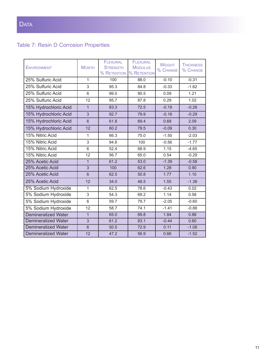# Table 7: Resin D Corrosion Properties

| <b>ENVIRONMENT</b>         | <b>MONTH</b>   | <b>FLEXURAL</b><br><b>STRENGTH</b><br>% RETENTION | <b>FLEXURAL</b><br><b>MODULUS</b><br>% RETENTION | <b>WEIGHT</b><br>% CHANGE | <b>THICKNESS</b><br>% CHANGE |
|----------------------------|----------------|---------------------------------------------------|--------------------------------------------------|---------------------------|------------------------------|
| 25% Sulfuric Acid          | $\mathbf{1}$   | 100                                               | 88.0                                             | $-0.10$                   | $-0.31$                      |
| 25% Sulfuric Acid          | 3              | 95.3                                              | 84.8                                             | $-0.33$                   | $-1.62$                      |
| 25% Sulfuric Acid          | 6              | 99.0                                              | 90.5                                             | 0.09                      | 1.21                         |
| 25% Sulfuric Acid          | 12             | 95.7                                              | 87.8                                             | 0.29                      | 1.02                         |
| 15% Hydrochloric Acid      | $\overline{1}$ | 83.3                                              | 72.5                                             | $-0.19$                   | $-0.28$                      |
| 15% Hydrochloric Acid      | 3              | 92.7                                              | 79.9                                             | $-0.18$                   | $-0.29$                      |
| 15% Hydrochloric Acid      | $6\phantom{1}$ | 61.8                                              | 69.4                                             | 0.68                      | 2.09                         |
| 15% Hydrochloric Acid      | 12             | 60.2                                              | 79.5                                             | $-0.09$                   | 0.30                         |
| 15% Nitric Acid            | 1              | 66.3                                              | 75.0                                             | $-1.50$                   | $-2.03$                      |
| 15% Nitric Acid            | 3              | 94.6                                              | 100                                              | $-0.56$                   | $-1.77$                      |
| 15% Nitric Acid            | 6              | 52.4                                              | 68.9                                             | 1.15                      | $-4.65$                      |
| 15% Nitric Acid            | 12             | 56.7                                              | 65.0                                             | 0.54                      | $-0.29$                      |
| 25% Acetic Acid            | $\mathbf{1}$   | 61.2                                              | 53.0                                             | $-1.39$                   | $-0.58$                      |
| 25% Acetic Acid            | 3              | 100                                               | 62.6                                             | 1.28                      | 0.90                         |
| 25% Acetic Acid            | 6              | 62.5                                              | 50.8                                             | 1.77                      | 1.10                         |
| 25% Acetic Acid            | 12             | 34.0                                              | 48.5                                             | 1.55                      | $-1.38$                      |
| 5% Sodium Hydroxide        | 1              | 62.5                                              | 78.6                                             | $-0.43$                   | 0.02                         |
| 5% Sodium Hydroxide        | 3              | 54.3                                              | 69.2                                             | 1.14                      | 0.58                         |
| 5% Sodium Hydroxide        | 6              | 59.7                                              | 79.7                                             | $-2.05$                   | $-0.60$                      |
| 5% Sodium Hydroxide        | 12             | 58.7                                              | 74.1                                             | $-1.41$                   | $-0.88$                      |
| <b>Demineralized Water</b> | $\mathbf{1}$   | 65.0                                              | 69.8                                             | 1.84                      | 0.88                         |
| <b>Demineralized Water</b> | 3              | 61.2                                              | 83.1                                             | $-0.44$                   | 0.60                         |
| <b>Demineralized Water</b> | $\overline{6}$ | 50.5                                              | 72.9                                             | 0.11                      | $-1.08$                      |
| Demineralized Water        | 12             | 47.2                                              | 56.9                                             | 0.66                      | $-1.52$                      |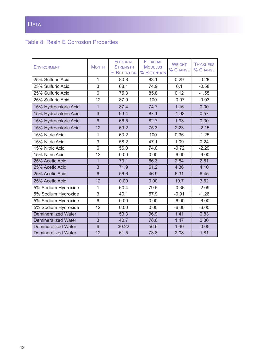# Table 8: Resin E Corrosion Properties

| <b>ENVIRONMENT</b>         | <b>MONTH</b>    | <b>FLEXURAL</b><br><b>STRENGTH</b><br>% RETENTION | <b>FLEXURAL</b><br><b>MODULUS</b><br>% RETENTION | <b>WEIGHT</b><br>% CHANGE | <b>THICKNESS</b><br>% CHANGE |
|----------------------------|-----------------|---------------------------------------------------|--------------------------------------------------|---------------------------|------------------------------|
| 25% Sulfuric Acid          | $\mathbf{1}$    | 80.8                                              | 83.1                                             | 0.29                      | $-0.28$                      |
| 25% Sulfuric Acid          | 3               | 68.1                                              | 74.9                                             | 0.1                       | $-0.58$                      |
| 25% Sulfuric Acid          | 6               | 75.3                                              | 85.8                                             | 0.12                      | $-1.55$                      |
| 25% Sulfuric Acid          | 12              | 87.9                                              | 100                                              | $-0.07$                   | $-0.93$                      |
| 15% Hydrochloric Acid      | $\overline{1}$  | 87.4                                              | 74.7                                             | 1.16                      | 0.00                         |
| 15% Hydrochloric Acid      | $\overline{3}$  | 93.4                                              | 87.1                                             | $-1.93$                   | 0.57                         |
| 15% Hydrochloric Acid      | 6               | 66.5                                              | 82.7                                             | 1.93                      | 0.30                         |
| 15% Hydrochloric Acid      | 12              | 69.2                                              | 75.3                                             | 2.23                      | $-2.15$                      |
| 15% Nitric Acid            | 1               | 63.2                                              | 100                                              | 0.36                      | $-1.25$                      |
| 15% Nitric Acid            | 3               | 58.2                                              | 47.1                                             | 1.09                      | 0.24                         |
| 15% Nitric Acid            | $6\overline{6}$ | 56.0                                              | 74.0                                             | $-0.72$                   | $-2.29$                      |
| 15% Nitric Acid            | 12              | 0.00                                              | 0.00                                             | $-6.00$                   | $-6.00$                      |
| 25% Acetic Acid            | $\overline{1}$  | 73.1                                              | 66.3                                             | 2.84                      | 2.81                         |
| 25% Acetic Acid            | $\overline{3}$  | 71.9                                              | 61.2                                             | 4.36                      | 4.10                         |
| 25% Acetic Acid            | $6\phantom{1}$  | 56.6                                              | 46.9                                             | 6.31                      | 6.45                         |
| 25% Acetic Acid            | 12              | 0.00                                              | 0.00                                             | 10.7                      | 3.62                         |
| 5% Sodium Hydroxide        | 1               | 60.4                                              | 79.5                                             | $-0.36$                   | $-2.09$                      |
| 5% Sodium Hydroxide        | 3               | 40.1                                              | 57.9                                             | $-0.91$                   | $-1.26$                      |
| 5% Sodium Hydroxide        | 6               | 0.00                                              | 0.00                                             | $-6.00$                   | $-6.00$                      |
| 5% Sodium Hydroxide        | 12              | 0.00                                              | 0.00                                             | $-6.00$                   | $-6.00$                      |
| <b>Demineralized Water</b> | $\overline{1}$  | 53.3                                              | 96.9                                             | 1.41                      | 0.83                         |
| <b>Demineralized Water</b> | $\overline{3}$  | 40.7                                              | 78.6                                             | 1.47                      | 0.30                         |
| <b>Demineralized Water</b> | $6\phantom{1}$  | 30.22                                             | 56.6                                             | 1.40                      | $-0.05$                      |
| <b>Demineralized Water</b> | 12              | 61.5                                              | 73.8                                             | 2.08                      | 1.81                         |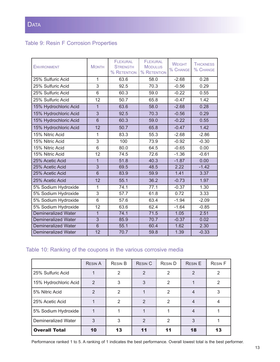## Table 9: Resin F Corrosion Properties

| <b>ENVIRONMENT</b>         | <b>MONTH</b>   | <b>FLEXURAL</b><br><b>STRENGTH</b><br>% RETENTION | <b>FLEXURAL</b><br><b>MODULUS</b><br>% RETENTION | <b>WEIGHT</b><br>% CHANGE | <b>THICKNESS</b><br>% CHANGE |
|----------------------------|----------------|---------------------------------------------------|--------------------------------------------------|---------------------------|------------------------------|
| 25% Sulfuric Acid          | 1              | 63.6                                              | 58.0                                             | $-2.68$                   | 0.28                         |
| 25% Sulfuric Acid          | 3              | 92.5                                              | 70.3                                             | $-0.56$                   | 0.29                         |
| 25% Sulfuric Acid          | 6              | 60.3                                              | 59.0                                             | $-0.22$                   | 0.55                         |
| 25% Sulfuric Acid          | 12             | 50.7                                              | 65.8                                             | $-0.47$                   | 1.42                         |
| 15% Hydrochloric Acid      | $\mathbf{1}$   | 63.6                                              | 58.0                                             | $-2.68$                   | 0.28                         |
| 15% Hydrochloric Acid      | 3              | 92.5                                              | 70.3                                             | $-0.56$                   | 0.29                         |
| 15% Hydrochloric Acid      | 6              | 60.3                                              | 59.0                                             | $-0.22$                   | 0.55                         |
| 15% Hydrochloric Acid      | 12             | 50.7                                              | 65.8                                             | $-0.47$                   | 1.42                         |
| 15% Nitric Acid            | 1              | 83.3                                              | 55.3                                             | $-2.68$                   | $-2.86$                      |
| 15% Nitric Acid            | 3              | 100                                               | 73.9                                             | $-0.92$                   | $-0.30$                      |
| 15% Nitric Acid            | 6              | 80.0                                              | 64.5                                             | $-0.65$                   | 0.00                         |
| 15% Nitric Acid            | 12             | 74.5                                              | 72.6                                             | $-1.36$                   | $-0.61$                      |
| 25% Acetic Acid            | $\overline{1}$ | 51.8                                              | 40.3                                             | $-1.87$                   | 0.00                         |
| 25% Acetic Acid            | $\overline{3}$ | 69.5                                              | 48.5                                             | 2.22                      | $-1.42$                      |
| 25% Acetic Acid            | 6              | 83.9                                              | 59.9                                             | 1.41                      | 3.37                         |
| 25% Acetic Acid            | 12             | 55.1                                              | 36.2                                             | $-0.73$                   | 1.97                         |
| 5% Sodium Hydroxide        | 1              | 74.1                                              | 77.1                                             | $-0.37$                   | 1.30                         |
| 5% Sodium Hydroxide        | 3              | 57.7                                              | 61.8                                             | 0.72                      | 3.33                         |
| 5% Sodium Hydroxide        | 6              | 57.6                                              | 63.4                                             | $-1.94$                   | $-2.09$                      |
| 5% Sodium Hydroxide        | 12             | 63.6                                              | 62.4                                             | $-1.64$                   | $-0.85$                      |
| <b>Demineralized Water</b> | $\overline{1}$ | 74.1                                              | 71.5                                             | 1.05                      | 2.51                         |
| <b>Demineralized Water</b> | 3              | 85.9                                              | 70.7                                             | $-0.37$                   | 0.02                         |
| <b>Demineralized Water</b> | $\overline{6}$ | 55.1                                              | 60.4                                             | 1.62                      | 2.30                         |
| <b>Demineralized Water</b> | 12             | 70.7                                              | 59.8                                             | 1.39                      | $-0.33$                      |

## Table 10: Ranking of the coupons in the various corrosive media

|                       | <b>RESIN A</b> | <b>RESIN B</b> | <b>RESIN C</b> | <b>RESIND</b> | <b>RESIN E</b> | <b>RESIN F</b> |
|-----------------------|----------------|----------------|----------------|---------------|----------------|----------------|
| 25% Sulfuric Acid     |                | $\mathcal{P}$  | $\overline{2}$ | 2             | $\mathcal{P}$  | 2              |
| 15% Hydrochloric Acid | $\mathcal{P}$  | 3              | 3              | $\mathcal{P}$ |                | 2              |
| 5% Nitric Acid        | 2              | 2              |                | 2             |                | 3              |
| 25% Acetic Acid       |                | $\mathcal{P}$  | $\mathfrak{D}$ | 2             | $\overline{4}$ |                |
| 5% Sodium Hydroxide   |                |                |                |               | 4              |                |
| Demineralized Water   | 3              | 3              | $\mathcal{P}$  | $\mathcal{P}$ | 3              |                |
| <b>Overall Total</b>  | 10             | 13             | 11             | 11            | 18             | 13             |

Performance ranked 1 to 5. A ranking of 1 indicates the best performance. Overall lowest total is the best performer.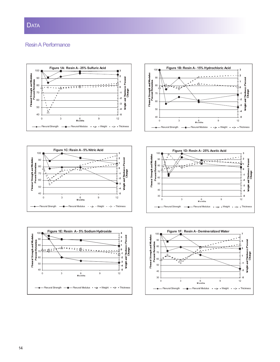#### Resin A Performance











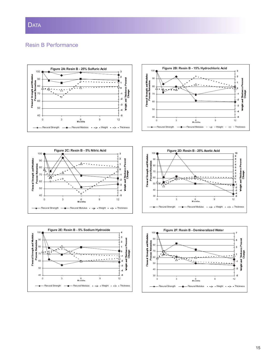#### Resin B Performance

<sup>3</sup> <sup>6</sup> <sup>9</sup> <sup>12</sup> **M o nths**

 $\rightarrow$ 

Flexural Strength - Flexural Modulus - - A - Weight - - O - Thickness



<sup>3</sup> <sup>6</sup> <sup>9</sup> <sup>12</sup> **M o nths**

Flexural Strength  $\frac{m}{2}$  Flexural Modulus  $\frac{m}{2}$  - Weight  $\frac{m}{2}$  - Thickness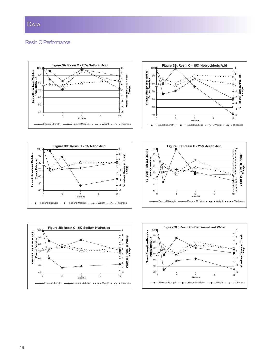#### Resin C Performance

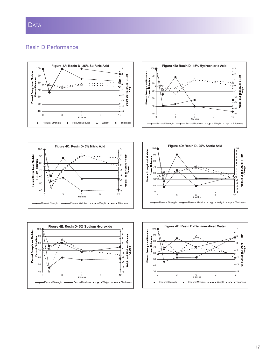#### Resin D Performance









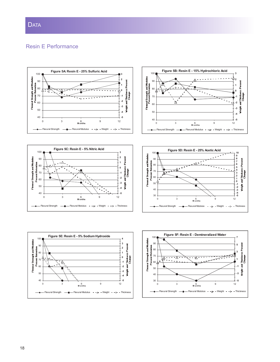## **DATA**

## Resin E Performance



**-5 -4 -3**

veight .

 

<sup>3</sup> <sup>6</sup> <sup>9</sup> <sup>12</sup> **M onths**

Flexural Strength  $\frac{m}{2}$  Flexural Modulus  $\frac{m}{2}$  - Weight - - O - Thickness

**-5 -3**



 

3 6 9 12 **M o nths**

Flexural Strength  $\frac{m}{2}$  Flexural Modulus  $\frac{m}{2}$  - Weight  $\frac{m}{2}$  - Thickness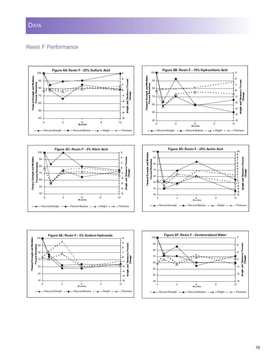## **DATA**

#### Resin F Performance